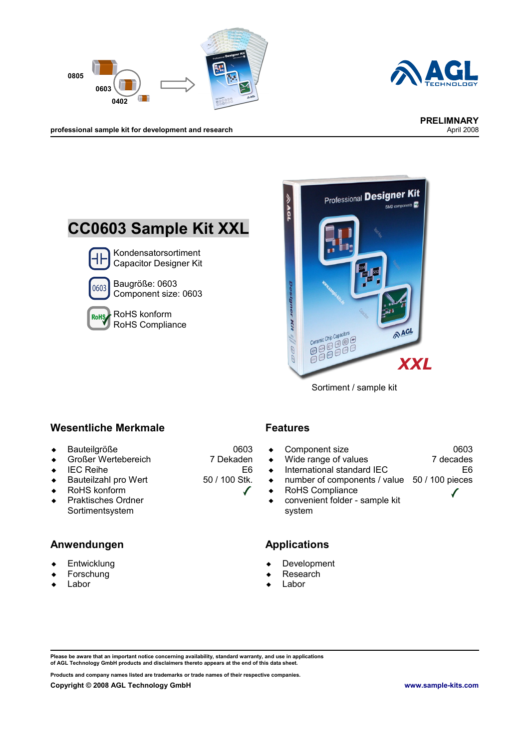



professional sample kit for development and research





Sortiment / sample kit

#### **Wesentliche Merkmale Features**

- Bauteilgröße
- ◆ Großer Wertebereich
- $\leftarrow$  IEC Reihe
- ◆ Bauteilzahl pro Wert
- ◆ RoHS konform
- ◆ Praktisches Ordner Sortimentsystem

### **Anwendungen Applications**

- **Entwicklung**
- Forschung
- Labor

0603 7 Dekaden

50 / 100 Stk.

E6

 $\sqrt{}$ 

- Component size Wide range of values  $\bullet$  International standard IEC number of components / value 50 / 100 pieces 0603 7 decades E6
- RoHS Compliance
- convenient folder sample kit system

- Development
- Research
- Labor

**Please be aware that an important notice concerning availability, standard warranty, and use in applications of AGL Technology GmbH products and disclaimers thereto appears at the end of this data sheet.**

**Products and company names listed are trademarks or trade names of their respective companies.**

- 
- 
-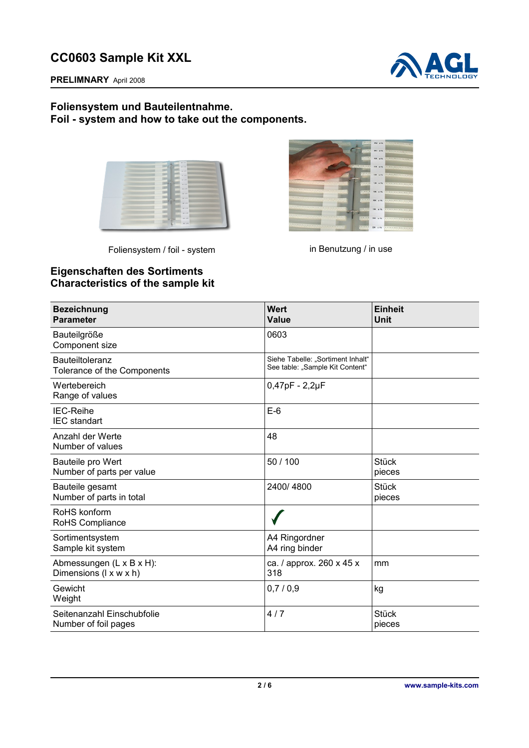

**PRELIMNARY** April 2008

### **Foliensystem und Bauteilentnahme. Foil - system and how to take out the components.**

| 33                                                                                                                          | ,,,,,,,,,,,,,,,,,,,,,,,,,,,,,,,,,,,,<br>CONTRACT AND AVE           |
|-----------------------------------------------------------------------------------------------------------------------------|--------------------------------------------------------------------|
|                                                                                                                             | ,,,,,,,,,,,,,,,,,,,,,,,,,,,,,,,,<br>We do have                     |
|                                                                                                                             | ,,,,,,,,,,,,,,,,,,,,,,,,,,,,,,,,,<br>THE WAY . THE R. P. LEWIS     |
| <b>THE R. P. LEWIS CO., LANSING MICH.</b><br>                                                                               | <b>LEARER</b><br><b>SHELFE</b>                                     |
|                                                                                                                             | <b>COLORED IN STR.</b>                                             |
|                                                                                                                             | OF AN INTERFERENCES CONTINUES OF<br><b>ALLENY</b>                  |
|                                                                                                                             | <br>111111 W. A.W.                                                 |
|                                                                                                                             | ,,,,,,,,,,,,,,,,,,,,,,,,,,,,,,,,,,,,,<br><b>COLLEGE STATISTICS</b> |
| <u> 1999 - Jan Barnett, mars ann an Amerikaanse foarmen (de oarspronklike foarmen (de oarspronklike foarmen) fan de oar</u> | <b>COLLEGE OR ATT</b>                                              |
|                                                                                                                             |                                                                    |
|                                                                                                                             | <b>ALLES BE ATT</b>                                                |
|                                                                                                                             | ,,,,,,,,,,,,,,,,,,,,,,,,,,,,,,,,,,,,<br><b>SERVICE SERVICE</b>     |
|                                                                                                                             | ,,,,,,,,,,,,,,,,,,,,,,,,,,,,,,,,,,,<br><b>CALL ACTIVE</b>          |
|                                                                                                                             |                                                                    |

Foliensystem / foil - system in Benutzung / in use



## **Eigenschaften des Sortiments Characteristics of the sample kit**

| <b>Bezeichnung</b><br><b>Parameter</b>             | <b>Wert</b><br>Value                                                 | <b>Einheit</b><br>Unit |
|----------------------------------------------------|----------------------------------------------------------------------|------------------------|
| Bauteilgröße<br>Component size                     | 0603                                                                 |                        |
| Bauteiltoleranz<br>Tolerance of the Components     | Siehe Tabelle: "Sortiment Inhalt"<br>See table: "Sample Kit Content" |                        |
| Wertebereich<br>Range of values                    | $0,47pF - 2,2\mu F$                                                  |                        |
| <b>IEC-Reihe</b><br><b>IEC</b> standart            | $E-6$                                                                |                        |
| Anzahl der Werte<br>Number of values               | 48                                                                   |                        |
| Bauteile pro Wert<br>Number of parts per value     | 50 / 100                                                             | <b>Stück</b><br>pieces |
| Bauteile gesamt<br>Number of parts in total        | 2400/4800                                                            | <b>Stück</b><br>pieces |
| RoHS konform<br>RoHS Compliance                    |                                                                      |                        |
| Sortimentsystem<br>Sample kit system               | A4 Ringordner<br>A4 ring binder                                      |                        |
| Abmessungen (L x B x H):<br>Dimensions (I x w x h) | ca. / approx. 260 x 45 x<br>318                                      | mm                     |
| Gewicht<br>Weight                                  | 0,7/0,9                                                              | kg                     |
| Seitenanzahl Einschubfolie<br>Number of foil pages | 4/7                                                                  | <b>Stück</b><br>pieces |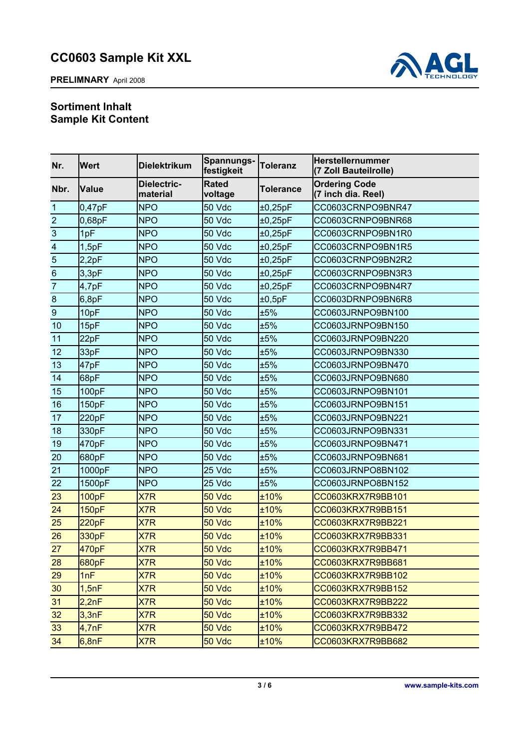



## **Sortiment Inhalt Sample Kit Content**

| Nr.                     | <b>Wert</b>  | <b>Dielektrikum</b>     | Spannungs-<br>festigkeit | <b>Toleranz</b> | Herstellernummer<br>(7 Zoll Bauteilrolle)  |
|-------------------------|--------------|-------------------------|--------------------------|-----------------|--------------------------------------------|
| Nbr.                    | <b>Value</b> | Dielectric-<br>material | <b>Rated</b><br>voltage  | Tolerance       | <b>Ordering Code</b><br>(7 inch dia. Reel) |
| 1                       | 0,47pF       | <b>NPO</b>              | 50 Vdc                   | ±0,25pF         | CC0603CRNPO9BNR47                          |
| $\overline{2}$          | 0,68pF       | <b>NPO</b>              | 50 Vdc                   | ±0,25pF         | CC0603CRNPO9BNR68                          |
| 3                       | 1pF          | <b>NPO</b>              | 50 Vdc                   | ±0,25pF         | CC0603CRNPO9BN1R0                          |
| $\overline{\mathbf{4}}$ | 1,5pF        | <b>NPO</b>              | 50 Vdc                   | ±0,25pF         | CC0603CRNPO9BN1R5                          |
| 5                       | 2,2pF        | <b>NPO</b>              | 50 Vdc                   | ±0,25pF         | CC0603CRNPO9BN2R2                          |
| $\,$ 6 $\,$             | 3,3pF        | <b>NPO</b>              | 50 Vdc                   | ±0,25pF         | CC0603CRNPO9BN3R3                          |
| $\overline{7}$          | 4,7pF        | <b>NPO</b>              | 50 Vdc                   | ±0,25pF         | CC0603CRNPO9BN4R7                          |
| $\boldsymbol{8}$        | 6,8pF        | <b>NPO</b>              | 50 Vdc                   | ±0,5pF          | CC0603DRNPO9BN6R8                          |
| $\boldsymbol{9}$        | 10pF         | <b>NPO</b>              | 50 Vdc                   | ±5%             | CC0603JRNPO9BN100                          |
| 10                      | 15pF         | <b>NPO</b>              | 50 Vdc                   | ±5%             | CC0603JRNPO9BN150                          |
| 11                      | 22pF         | <b>NPO</b>              | 50 Vdc                   | ±5%             | CC0603JRNPO9BN220                          |
| 12                      | 33pF         | <b>NPO</b>              | 50 Vdc                   | ±5%             | CC0603JRNPO9BN330                          |
| 13                      | 47pF         | <b>NPO</b>              | 50 Vdc                   | ±5%             | CC0603JRNPO9BN470                          |
| 14                      | 68pF         | <b>NPO</b>              | 50 Vdc                   | ±5%             | CC0603JRNPO9BN680                          |
| 15                      | 100pF        | <b>NPO</b>              | 50 Vdc                   | ±5%             | CC0603JRNPO9BN101                          |
| 16                      | 150pF        | <b>NPO</b>              | 50 Vdc                   | ±5%             | CC0603JRNPO9BN151                          |
| 17                      | 220pF        | <b>NPO</b>              | 50 Vdc                   | ±5%             | CC0603JRNPO9BN221                          |
| 18                      | 330pF        | <b>NPO</b>              | 50 Vdc                   | ±5%             | CC0603JRNPO9BN331                          |
| 19                      | 470pF        | <b>NPO</b>              | 50 Vdc                   | ±5%             | CC0603JRNPO9BN471                          |
| 20                      | 680pF        | <b>NPO</b>              | 50 Vdc                   | ±5%             | CC0603JRNPO9BN681                          |
| 21                      | 1000pF       | <b>NPO</b>              | 25 Vdc                   | ±5%             | CC0603JRNPO8BN102                          |
| 22                      | 1500pF       | <b>NPO</b>              | 25 Vdc                   | ±5%             | CC0603JRNPO8BN152                          |
| 23                      | <b>100pF</b> | X7R                     | 50 Vdc                   | ±10%            | CC0603KRX7R9BB101                          |
| 24                      | <b>150pF</b> | X7R                     | 50 Vdc                   | ±10%            | CC0603KRX7R9BB151                          |
| 25                      | 220pF        | X7R                     | 50 Vdc                   | ±10%            | CC0603KRX7R9BB221                          |
| 26                      | 330pF        | X7R                     | 50 Vdc                   | ±10%            | CC0603KRX7R9BB331                          |
| 27                      | 470pF        | X7R                     | 50 Vdc                   | ±10%            | CC0603KRX7R9BB471                          |
| 28                      | 680pF        | X7R                     | 50 Vdc                   | ±10%            | CC0603KRX7R9BB681                          |
| 29                      | 1nF          | X7R                     | 50 Vdc                   | ±10%            | CC0603KRX7R9BB102                          |
| 30                      | 1,5nF        | X7R                     | 50 Vdc                   | $±10\%$         | CC0603KRX7R9BB152                          |
| 31                      | 2,2nF        | X7R                     | 50 Vdc                   | ±10%            | CC0603KRX7R9BB222                          |
| 32                      | 3,3nF        | X7R                     | 50 Vdc                   | ±10%            | CC0603KRX7R9BB332                          |
| 33                      | 4,7nF        | X7R                     | 50 Vdc                   | ±10%            | CC0603KRX7R9BB472                          |
| 34                      | 6,8nF        | X7R                     | 50 Vdc                   | ±10%            | CC0603KRX7R9BB682                          |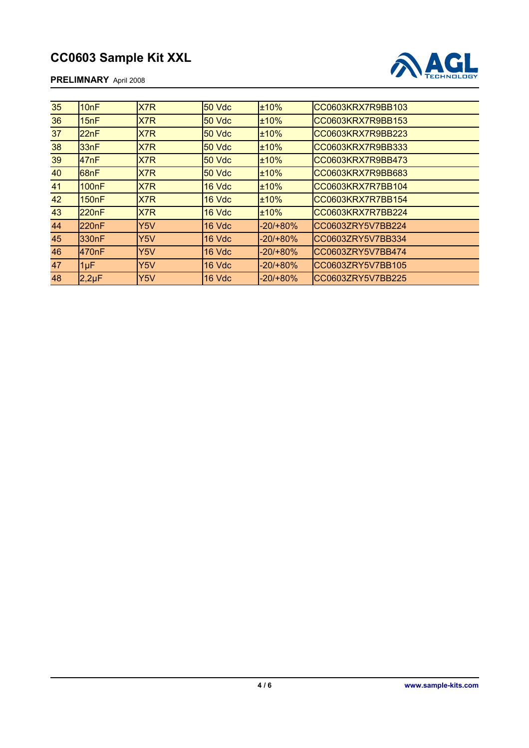#### **PRELIMNARY** April 2008



| 35 | 10nF                    | X7R              | <b>50 Vdc</b> | ±10%        | CC0603KRX7R9BB103 |
|----|-------------------------|------------------|---------------|-------------|-------------------|
| 36 | 15nF                    | X7R              | 50 Vdc        | ±10%        | CC0603KRX7R9BB153 |
| 37 | 22nF                    | X7R              | <b>50 Vdc</b> | ±10%        | CC0603KRX7R9BB223 |
| 38 | 33nF                    | X7R              | <b>50 Vdc</b> | ±10%        | CC0603KRX7R9BB333 |
| 39 | 47nF                    | X7R              | <b>50 Vdc</b> | ±10%        | CC0603KRX7R9BB473 |
| 40 | 68nF                    | X7R              | <b>50 Vdc</b> | ±10%        | CC0603KRX7R9BB683 |
| 41 | 100nF                   | X7R              | 16 Vdc        | ±10%        | CC0603KRX7R7BB104 |
| 42 | <b>150<sub>n</sub>F</b> | X7R              | 16 Vdc        | ±10%        | CC0603KRX7R7BB154 |
| 43 | 220 <sub>n</sub> F      | X7R              | 16 Vdc        | ±10%        | CC0603KRX7R7BB224 |
| 44 | 220 <sub>n</sub> F      | Y5V              | 16 Vdc        | -20/+80%    | CC0603ZRY5V7BB224 |
| 45 | 330nF                   | Y <sub>5</sub> V | 16 Vdc        | $-20/+80\%$ | CC0603ZRY5V7BB334 |
| 46 | 470nF                   | Y <sub>5</sub> V | 16 Vdc        | $-20/+80\%$ | CC0603ZRY5V7BB474 |
| 47 | $1\mu F$                | Y5V              | 16 Vdc        | -20/+80%    | CC0603ZRY5V7BB105 |
| 48 | $2,2\mu F$              | Y5V              | 16 Vdc        | $-20/+80\%$ | CC0603ZRY5V7BB225 |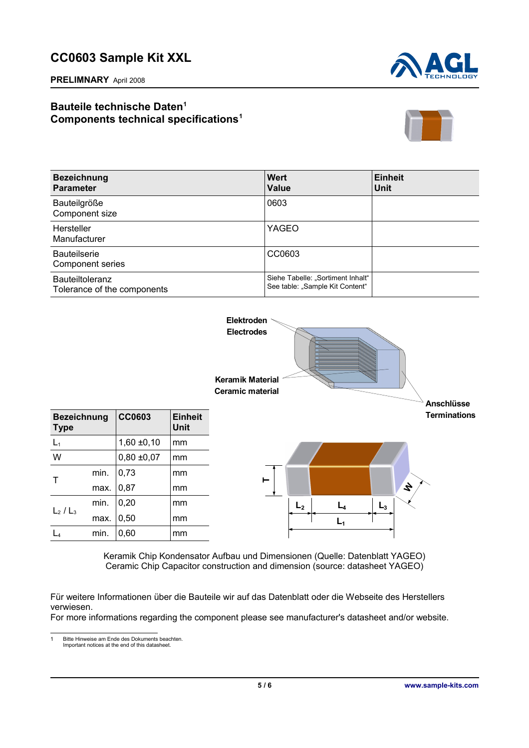**PRELIMNARY** April 2008



## **Bauteile technische Daten[1](#page-4-0) Components technical specifications<sup>1</sup>**



| <b>Bezeichnung</b><br><b>Parameter</b>                | Wert<br><b>Value</b>                                                 | <b>Einheit</b><br>Unit |
|-------------------------------------------------------|----------------------------------------------------------------------|------------------------|
| Bauteilgröße<br>Component size                        | 0603                                                                 |                        |
| Hersteller<br>Manufacturer                            | YAGEO                                                                |                        |
| <b>Bauteilserie</b><br><b>Component series</b>        | CC0603                                                               |                        |
| <b>Bauteiltoleranz</b><br>Tolerance of the components | Siehe Tabelle: "Sortiment Inhalt"<br>See table: "Sample Kit Content" |                        |



Keramik Chip Kondensator Aufbau und Dimensionen (Quelle: Datenblatt YAGEO) Ceramic Chip Capacitor construction and dimension (source: datasheet YAGEO)

Für weitere Informationen über die Bauteile wir auf das Datenblatt oder die Webseite des Herstellers verwiesen.

For more informations regarding the component please see manufacturer's datasheet and/or website.

<span id="page-4-0"></span>1 Bitte Hinweise am Ende des Dokuments beachten. Important notices at the end of this datasheet.